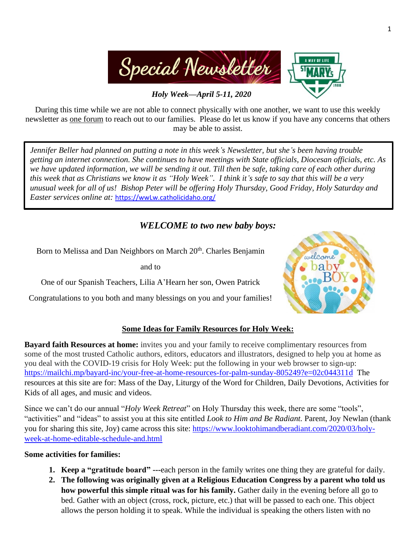

During this time while we are not able to connect physically with one another, we want to use this weekly newsletter as one forum to reach out to our families. Please do let us know if you have any concerns that others may be able to assist.

*Jennifer Beller had planned on putting a note in this week's Newsletter, but she's been having trouble getting an internet connection. She continues to have meetings with State officials, Diocesan officials, etc. As we have updated information, we will be sending it out. Till then be safe, taking care of each other during this week that as Christians we know it as "Holy Week". I think it's safe to say that this will be a very unusual week for all of us! Bishop Peter will be offering Holy Thursday, Good Friday, Holy Saturday and Easter services online at:* [https://wwLw.catholicidaho.org/](https://wwlw.catholicidaho.org/)

# *WELCOME to two new baby boys:*

Born to Melissa and Dan Neighbors on March 20<sup>th</sup>. Charles Benjamin

and to

One of our Spanish Teachers, Lilia A'Hearn her son, Owen Patrick

Congratulations to you both and many blessings on you and your families!



## **Some Ideas for Family Resources for Holy Week:**

**Bayard faith Resources at home:** invites you and your family to receive complimentary resources from some of the most trusted Catholic authors, editors, educators and illustrators, designed to help you at home as you deal with the COVID-19 crisis for Holy Week: put the following in your web browser to sign-up: <https://mailchi.mp/bayard-inc/your-free-at-home-resources-for-palm-sunday-805249?e=02c044311d>The resources at this site are for: Mass of the Day, Liturgy of the Word for Children, Daily Devotions, Activities for Kids of all ages, and music and videos.

Since we can't do our annual "*Holy Week Retreat*" on Holy Thursday this week, there are some "tools", "activities" and "ideas" to assist you at this site entitled *Look to Him and Be Radiant.* Parent, Joy Newlan (thank you for sharing this site, Joy) came across this site: [https://www.looktohimandberadiant.com/2020/03/holy](https://www.looktohimandberadiant.com/2020/03/holy-week-at-home-editable-schedule-and.html)[week-at-home-editable-schedule-and.html](https://www.looktohimandberadiant.com/2020/03/holy-week-at-home-editable-schedule-and.html)

### **Some activities for families:**

- **1. Keep a "gratitude board" ---**each person in the family writes one thing they are grateful for daily.
- **2. The following was originally given at a Religious Education Congress by a parent who told us how powerful this simple ritual was for his family.** Gather daily in the evening before all go to bed. Gather with an object (cross, rock, picture, etc.) that will be passed to each one. This object allows the person holding it to speak. While the individual is speaking the others listen with no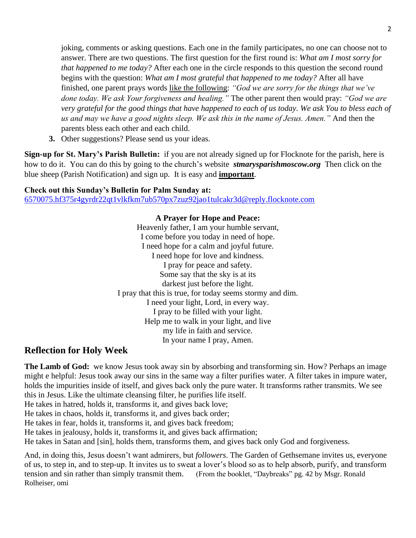joking, comments or asking questions. Each one in the family participates, no one can choose not to answer. There are two questions. The first question for the first round is: *What am I most sorry for that happened to me today?* After each one in the circle responds to this question the second round begins with the question: *What am I most grateful that happened to me today?* After all have finished, one parent prays words like the following: *"God we are sorry for the things that we've done today. We ask Your forgiveness and healing."* The other parent then would pray: *"God we are very grateful for the good things that have happened to each of us today. We ask You to bless each of us and may we have a good nights sleep. We ask this in the name of Jesus. Amen."* And then the parents bless each other and each child.

**3.** Other suggestions? Please send us your ideas.

**Sign-up for St. Mary's Parish Bulletin:** if you are not already signed up for Flocknote for the parish, here is how to do it. You can do this by going to the church's website *stmarysparishmoscow.org* Then click on the blue sheep (Parish Notification) and sign up. It is easy and **important**.

### **Check out this Sunday's Bulletin for Palm Sunday at:**

[6570075.hf375r4gyrdr22qt1vlkfkm7ub570px7zuz92jao1tulcakr3d@reply.flocknote.com](mailto:6570075.hf375r4gyrdr22qt1vlkfkm7ub570px7zuz92jao1tulcakr3d@reply.flocknote.com)

**A Prayer for Hope and Peace:** Heavenly father, I am your humble servant, I come before you today in need of hope. I need hope for a calm and joyful future. I need hope for love and kindness. I pray for peace and safety. Some say that the sky is at its darkest just before the light. I pray that this is true, for today seems stormy and dim. I need your light, Lord, in every way. I pray to be filled with your light. Help me to walk in your light, and live my life in faith and service. In your name I pray, Amen.

## **Reflection for Holy Week**

**The Lamb of God:** we know Jesus took away sin by absorbing and transforming sin. How? Perhaps an image might e helpful: Jesus took away our sins in the same way a filter purifies water. A filter takes in impure water, holds the impurities inside of itself, and gives back only the pure water. It transforms rather transmits. We see this in Jesus. Like the ultimate cleansing filter, he purifies life itself.

He takes in hatred, holds it, transforms it, and gives back love;

He takes in chaos, holds it, transforms it, and gives back order;

He takes in fear, holds it, transforms it, and gives back freedom;

He takes in jealousy, holds it, transforms it, and gives back affirmation;

He takes in Satan and [sin], holds them, transforms them, and gives back only God and forgiveness.

And, in doing this, Jesus doesn't want admirers, but *followers*. The Garden of Gethsemane invites us, everyone of us, to step in, and to step-up. It invites us to sweat a lover's blood so as to help absorb, purify, and transform tension and sin rather than simply transmit them. (From the booklet, "Daybreaks" pg. 42 by Msgr. Ronald Rolheiser, omi